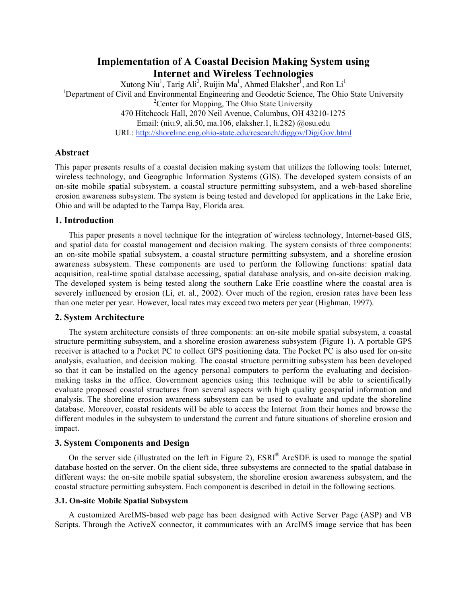# **Implementation of A Coastal Decision Making System using Internet and Wireless Technologies**

Xutong Niu<sup>1</sup>, Tarig Ali<sup>2</sup>, Ruijin Ma<sup>1</sup>, Ahmed Elaksher<sup>1</sup>, and Ron Li<sup>1</sup> <sup>1</sup>Department of Civil and Environmental Engineering and Geodetic Science, The Ohio State University <sup>2</sup> Center for Mapping, The Ohio State University 470 Hitchcock Hall, 2070 Neil Avenue, Columbus, OH 43210-1275 Email: (niu.9, ali.50, ma.106, elaksher.1, li.282) @osu.edu URL: http://shoreline.eng.ohio-state.edu/research/diggov/DigiGov.html

## **Abstract**

This paper presents results of a coastal decision making system that utilizes the following tools: Internet, wireless technology, and Geographic Information Systems (GIS). The developed system consists of an on-site mobile spatial subsystem, a coastal structure permitting subsystem, and a web-based shoreline erosion awareness subsystem. The system is being tested and developed for applications in the Lake Erie, Ohio and will be adapted to the Tampa Bay, Florida area.

## **1. Introduction**

This paper presents a novel technique for the integration of wireless technology, Internet-based GIS, and spatial data for coastal management and decision making. The system consists of three components: an on-site mobile spatial subsystem, a coastal structure permitting subsystem, and a shoreline erosion awareness subsystem. These components are used to perform the following functions: spatial data acquisition, real-time spatial database accessing, spatial database analysis, and on-site decision making. The developed system is being tested along the southern Lake Erie coastline where the coastal area is severely influenced by erosion (Li, et. al., 2002). Over much of the region, erosion rates have been less than one meter per year. However, local rates may exceed two meters per year (Highman, 1997).

### **2. System Architecture**

The system architecture consists of three components: an on-site mobile spatial subsystem, a coastal structure permitting subsystem, and a shoreline erosion awareness subsystem (Figure 1). A portable GPS receiver is attached to a Pocket PC to collect GPS positioning data. The Pocket PC is also used for on-site analysis, evaluation, and decision making. The coastal structure permitting subsystem has been developed so that it can be installed on the agency personal computers to perform the evaluating and decisionmaking tasks in the office. Government agencies using this technique will be able to scientifically evaluate proposed coastal structures from several aspects with high quality geospatial information and analysis. The shoreline erosion awareness subsystem can be used to evaluate and update the shoreline database. Moreover, coastal residents will be able to access the Internet from their homes and browse the different modules in the subsystem to understand the current and future situations of shoreline erosion and impact.

### **3. System Components and Design**

On the server side (illustrated on the left in Figure 2), ESRI® ArcSDE is used to manage the spatial database hosted on the server. On the client side, three subsystems are connected to the spatial database in different ways: the on-site mobile spatial subsystem, the shoreline erosion awareness subsystem, and the coastal structure permitting subsystem. Each component is described in detail in the following sections.

### **3.1. On-site Mobile Spatial Subsystem**

A customized ArcIMS-based web page has been designed with Active Server Page (ASP) and VB Scripts. Through the ActiveX connector, it communicates with an ArcIMS image service that has been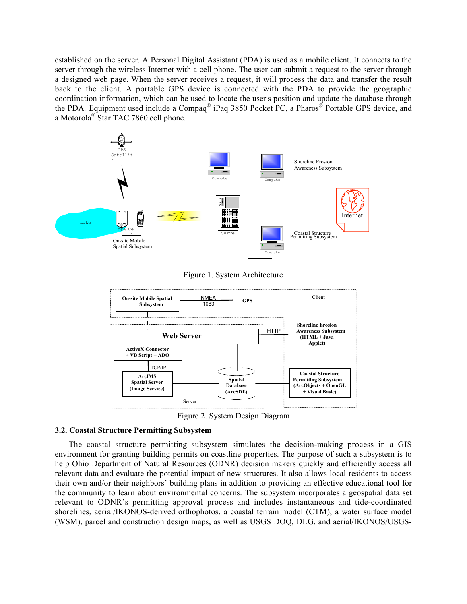established on the server. A Personal Digital Assistant (PDA) is used as a mobile client. It connects to the server through the wireless Internet with a cell phone. The user can submit a request to the server through a designed web page. When the server receives a request, it will process the data and transfer the result back to the client. A portable GPS device is connected with the PDA to provide the geographic coordination information, which can be used to locate the user's position and update the database through the PDA. Equipment used include a Compaq® iPaq 3850 Pocket PC, a Pharos® Portable GPS device, and a Motorola® Star TAC 7860 cell phone.



Figure 1. System Architecture



Figure 2. System Design Diagram

### **3.2. Coastal Structure Permitting Subsystem**

The coastal structure permitting subsystem simulates the decision-making process in a GIS environment for granting building permits on coastline properties. The purpose of such a subsystem is to help Ohio Department of Natural Resources (ODNR) decision makers quickly and efficiently access all relevant data and evaluate the potential impact of new structures. It also allows local residents to access their own and/or their neighbors' building plans in addition to providing an effective educational tool for the community to learn about environmental concerns. The subsystem incorporates a geospatial data set relevant to ODNR's permitting approval process and includes instantaneous and tide-coordinated shorelines, aerial/IKONOS-derived orthophotos, a coastal terrain model (CTM), a water surface model (WSM), parcel and construction design maps, as well as USGS DOQ, DLG, and aerial/IKONOS/USGS-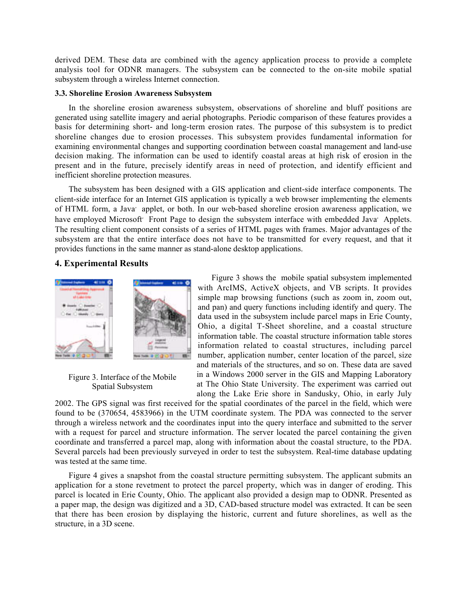derived DEM. These data are combined with the agency application process to provide a complete analysis tool for ODNR managers. The subsystem can be connected to the on-site mobile spatial subsystem through a wireless Internet connection.

#### **3.3. Shoreline Erosion Awareness Subsystem**

In the shoreline erosion awareness subsystem, observations of shoreline and bluff positions are generated using satellite imagery and aerial photographs. Periodic comparison of these features provides a basis for determining short- and long-term erosion rates. The purpose of this subsystem is to predict shoreline changes due to erosion processes. This subsystem provides fundamental information for examining environmental changes and supporting coordination between coastal management and land-use decision making. The information can be used to identify coastal areas at high risk of erosion in the present and in the future, precisely identify areas in need of protection, and identify efficient and inefficient shoreline protection measures.

The subsystem has been designed with a GIS application and client-side interface components. The client-side interface for an Internet GIS application is typically a web browser implementing the elements of HTML form, a Java' applet, or both. In our web-based shoreline erosion awareness application, we have employed Microsoft<sup>'</sup> Front Page to design the subsystem interface with embedded Java' Applets. The resulting client component consists of a series of HTML pages with frames. Major advantages of the subsystem are that the entire interface does not have to be transmitted for every request, and that it provides functions in the same manner as stand-alone desktop applications.

## **4. Experimental Results**



Figure 3. Interface of the Mobile Spatial Subsystem

Figure 3 shows the mobile spatial subsystem implemented with ArcIMS, ActiveX objects, and VB scripts. It provides simple map browsing functions (such as zoom in, zoom out, and pan) and query functions including identify and query. The data used in the subsystem include parcel maps in Erie County, Ohio, a digital T-Sheet shoreline, and a coastal structure information table. The coastal structure information table stores information related to coastal structures, including parcel number, application number, center location of the parcel, size and materials of the structures, and so on. These data are saved in a Windows 2000 server in the GIS and Mapping Laboratory at The Ohio State University. The experiment was carried out along the Lake Erie shore in Sandusky, Ohio, in early July

2002. The GPS signal was first received for the spatial coordinates of the parcel in the field, which were found to be (370654, 4583966) in the UTM coordinate system. The PDA was connected to the server through a wireless network and the coordinates input into the query interface and submitted to the server with a request for parcel and structure information. The server located the parcel containing the given coordinate and transferred a parcel map, along with information about the coastal structure, to the PDA. Several parcels had been previously surveyed in order to test the subsystem. Real-time database updating was tested at the same time.

Figure 4 gives a snapshot from the coastal structure permitting subsystem. The applicant submits an application for a stone revetment to protect the parcel property, which was in danger of eroding. This parcel is located in Erie County, Ohio. The applicant also provided a design map to ODNR. Presented as a paper map, the design was digitized and a 3D, CAD-based structure model was extracted. It can be seen that there has been erosion by displaying the historic, current and future shorelines, as well as the structure, in a 3D scene.